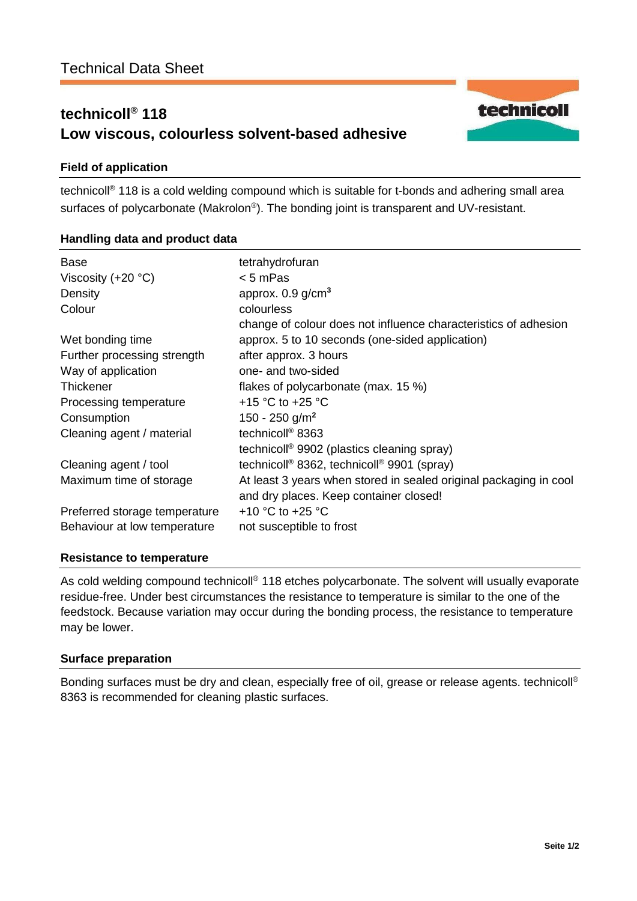# **technicoll® 118 Low viscous, colourless solvent-based adhesive**



# **Field of application**

technicoll® 118 is a cold welding compound which is suitable for t-bonds and adhering small area surfaces of polycarbonate (Makrolon® ). The bonding joint is transparent and UV-resistant.

# **Handling data and product data**

| <b>Base</b><br>Viscosity $(+20 °C)$<br>Density<br>Colour | tetrahydrofuran<br>< 5 mPas<br>approx. $0.9$ g/cm <sup>3</sup><br>colourless<br>change of colour does not influence characteristics of adhesion |
|----------------------------------------------------------|-------------------------------------------------------------------------------------------------------------------------------------------------|
| Wet bonding time                                         | approx. 5 to 10 seconds (one-sided application)                                                                                                 |
| Further processing strength                              | after approx. 3 hours                                                                                                                           |
| Way of application                                       | one- and two-sided                                                                                                                              |
| <b>Thickener</b>                                         | flakes of polycarbonate (max. 15 %)                                                                                                             |
| Processing temperature                                   | +15 °C to +25 °C                                                                                                                                |
| Consumption                                              | 150 - 250 g/m <sup>2</sup>                                                                                                                      |
| Cleaning agent / material                                | technicoll <sup>®</sup> 8363                                                                                                                    |
|                                                          | technicoll <sup>®</sup> 9902 (plastics cleaning spray)                                                                                          |
| Cleaning agent / tool                                    | technicoll <sup>®</sup> 8362, technicoll <sup>®</sup> 9901 (spray)                                                                              |
| Maximum time of storage                                  | At least 3 years when stored in sealed original packaging in cool<br>and dry places. Keep container closed!                                     |
| Preferred storage temperature                            | +10 $^{\circ}$ C to +25 $^{\circ}$ C                                                                                                            |
| Behaviour at low temperature                             | not susceptible to frost                                                                                                                        |

#### **Resistance to temperature**

As cold welding compound technicoll<sup>®</sup> 118 etches polycarbonate. The solvent will usually evaporate residue-free. Under best circumstances the resistance to temperature is similar to the one of the feedstock. Because variation may occur during the bonding process, the resistance to temperature may be lower.

# **Surface preparation**

Bonding surfaces must be dry and clean, especially free of oil, grease or release agents. technicoll® 8363 is recommended for cleaning plastic surfaces.